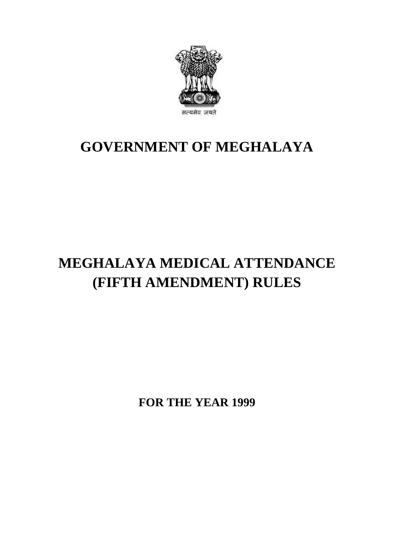

## **GOVERNMENT OF MEGHALAYA**

## **MEGHALAYA MEDICAL ATTENDANCE (FIFTH AMENDMENT) RULES**

**FOR THE YEAR 1999**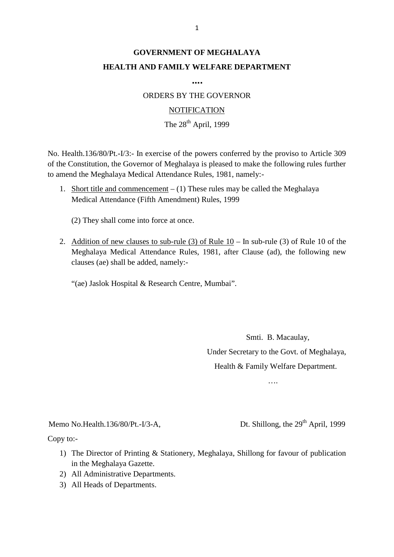## **GOVERNMENT OF MEGHALAYA HEALTH AND FAMILY WELFARE DEPARTMENT**

**….**

ORDERS BY THE GOVERNOR

## **NOTIFICATION**

The  $28<sup>th</sup>$  April, 1999

NOTIFICATION<br>The 28<sup>th</sup> April, 1999<br>No. Health.136/80/Pt.-I/3:- In exercise of the powers conferred by the proviso to Article 309<br>of the Constitution, the Governor of Meghalaya is pleased to make the following rules furthe to amend the Meghalaya Medical Attendance Rules, 1981, namely:- No. Health.136/80/Pt.-I/3:- In exercise of the powers conferred by the proviso to Article 309 of the Constitution, the Governor of Meghalaya is pleased to make the following rules further to amend the Meghalaya Medical At

Medical Attendance (Fifth Amendment) Rules, 1999

(2) They shall come into force at once.

Medical Attendance (Fifth Amendment) Rules, 1999<br>
(2) They shall come into force at once.<br>
2. Addition of new clauses to sub-rule (3) of Rule 10 – In sub-rule (3) of Rule 10 of the<br>
Meghalaya Medical Attendance Rules, 1981 (2) They shall come into force at once.<br>Addition of new clauses to sub-rule (3) of Rule  $10 - \text{In}$  sub-rule (3) of Rule 10 of the<br>Meghalaya Medical Attendance Rules, 1981, after Clause (ad), the following new<br>clauses (ae) clauses (ae) shall be added, namely:- Addition of new clauses to sub-rule (3) of Rule 10 – In<br>Meghalaya Medical Attendance Rules, 1981, after Cla<br>clauses (ae) shall be added, namely:-<br>"(ae) Jaslok Hospital & Research Centre, Mumbai".

Smti. B. Macaulay, Under Secretary to the Govt. of Meghalaya, Health & Family Welfare Department.

….

....<br>Memo No.Health.136/80/Pt.-I/3-A, Dt. Shillong, the 29<sup>th</sup> April, 1999<br>Copy to:-

Copy to:-

- 1) The Director of Printing & Stationery, Meghalaya, Shillong for favour of publication<br>
1) The Director of Printing & Stationery, Meghalaya, Shillong for favour of publication<br>
in the Meghalaya Gazette. in the Meghalaya Gazette. 2) All Administrative Departments.<br>
2) All Administrative Departments.<br>
2) All Administrative Departments. by to:-<br>
1) The Director of Printing &<br>
in the Meghalaya Gazette.<br>
2) All Administrative Departn<br>
3) All Heads of Departments.
- 
-